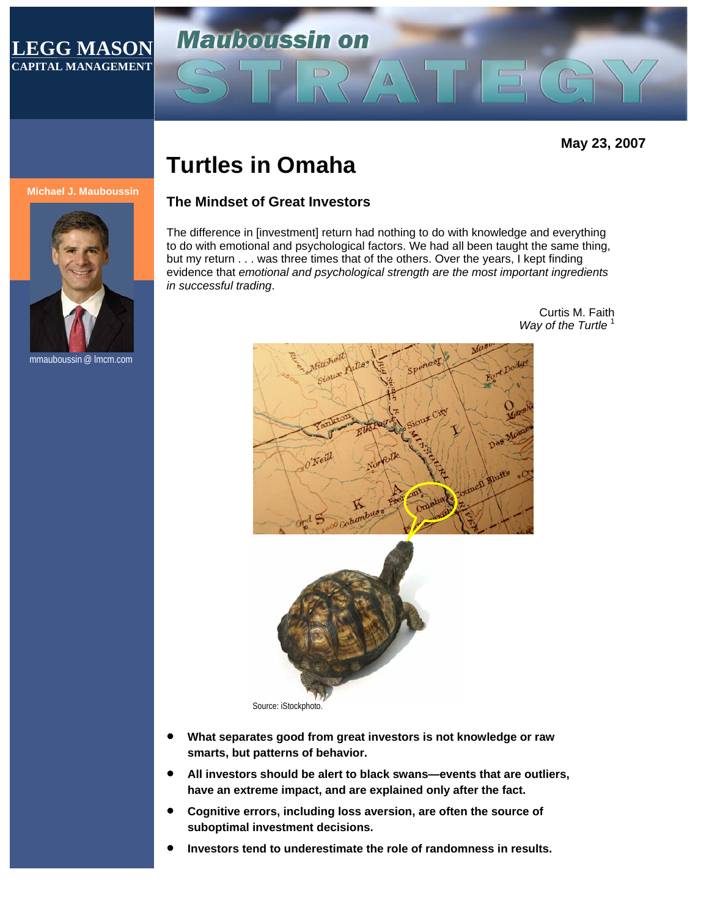# **LEGG MASON CAPITAL MANAGEMENT**

**May 23, 2007** 

# **Turtles in Omaha**

#### **Michael J. Mauboussin**



mmauboussin @ lmcm.com

# **The Mindset of Great Investors**

**Mauboussin on** 

The difference in [investment] return had nothing to do with knowledge and everything to do with emotional and psychological factors. We had all been taught the same thing, but my return . . . was three times that of the others. Over the years, I kept finding evidence that *emotional and psychological strength are the most important ingredients in successful trading*.

 $\sqrt{V}$ 

TE

Curtis M. Faith **Way of the Turtle** 



Source: iStockphoto.

- **What separates good from great investors is not knowledge or raw smarts, but patterns of behavior.**
- **All investors should be alert to black swans—events that are outliers, have an extreme impact, and are explained only after the fact.**
- **Cognitive errors, including loss aversion, are often the source of suboptimal investment decisions.**
- **Investors tend to underestimate the role of randomness in results.**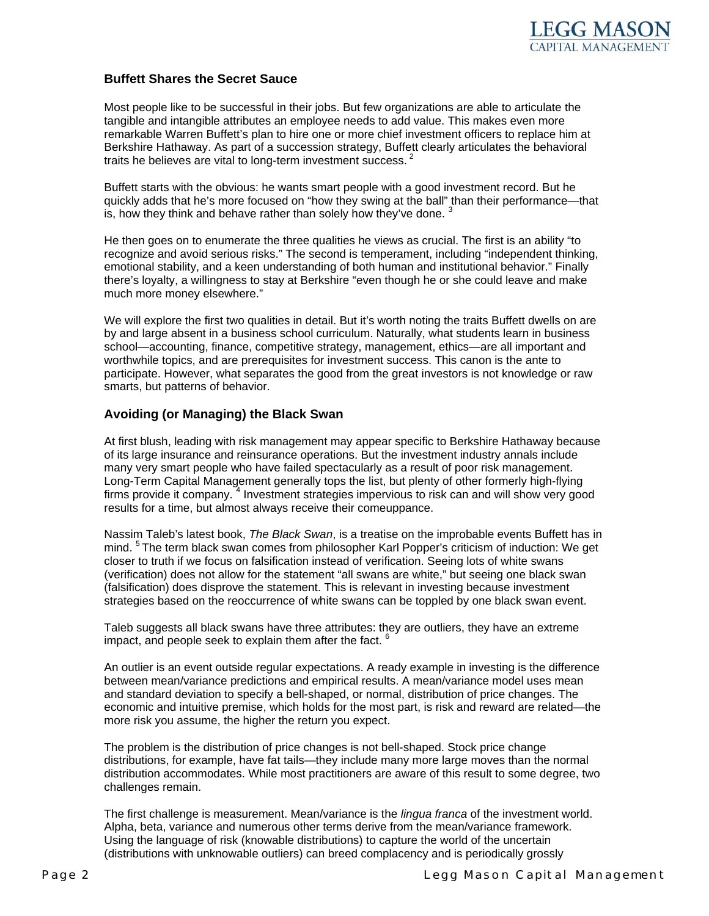

#### **Buffett Shares the Secret Sauce**

Most people like to be successful in their jobs. But few organizations are able to articulate the tangible and intangible attributes an employee needs to add value. This makes even more remarkable Warren Buffett's plan to hire one or more chief investment officers to replace him at Berkshire Hathaway. As part of a succession strategy, Buffett clearly articulates the behavioral traits he believes are vital to long-term investment success.  $\dot{\cdot}$ 

Buffett starts with the obvious: he wants smart people with a good investment record. But he quickly adds that he's more focused on "how they swing at the ball" than their performance—that is, how they think and behave rather than solely how they've done.  $3$ 

He then goes on to enumerate the three qualities he views as crucial. The first is an ability "to recognize and avoid serious risks." The second is temperament, including "independent thinking, emotional stability, and a keen understanding of both human and institutional behavior." Finally there's loyalty, a willingness to stay at Berkshire "even though he or she could leave and make much more money elsewhere."

We will explore the first two qualities in detail. But it's worth noting the traits Buffett dwells on are by and large absent in a business school curriculum. Naturally, what students learn in business school—accounting, finance, competitive strategy, management, ethics—are all important and worthwhile topics, and are prerequisites for investment success. This canon is the ante to participate. However, what separates the good from the great investors is not knowledge or raw smarts, but patterns of behavior.

#### **Avoiding (or Managing) the Black Swan**

At first blush, leading with risk management may appear specific to Berkshire Hathaway because of its large insurance and reinsurance operations. But the investment industry annals include many very smart people who have failed spectacularly as a result of poor risk management. Long-Term Capital Management generally tops the list, but plenty of other formerly high-flying firms provide it company. <sup>4</sup> Investment strategies impervious to risk can and will show very good results for a time, but almost always receive their comeuppance.

Nassim Taleb's latest book, *The Black Swan*, is a treatise on the improbable events Buffett has in mind. <sup>5</sup> The term black swan comes from philosopher Karl Popper's criticism of induction: We get closer to truth if we focus on falsification instead of verification. Seeing lots of white swans (verification) does not allow for the statement "all swans are white," but seeing one black swan (falsification) does disprove the statement. This is relevant in investing because investment strategies based on the reoccurrence of white swans can be toppled by one black swan event.

Taleb suggests all black swans have three attributes: they are outliers, they have an extreme impact, and people seek to explain them after the fact.  $6$ 

An outlier is an event outside regular expectations. A ready example in investing is the difference between mean/variance predictions and empirical results. A mean/variance model uses mean and standard deviation to specify a bell-shaped, or normal, distribution of price changes. The economic and intuitive premise, which holds for the most part, is risk and reward are related—the more risk you assume, the higher the return you expect.

The problem is the distribution of price changes is not bell-shaped. Stock price change distributions, for example, have fat tails—they include many more large moves than the normal distribution accommodates. While most practitioners are aware of this result to some degree, two challenges remain.

The first challenge is measurement. Mean/variance is the *lingua franca* of the investment world. Alpha, beta, variance and numerous other terms derive from the mean/variance framework. Using the language of risk (knowable distributions) to capture the world of the uncertain (distributions with unknowable outliers) can breed complacency and is periodically grossly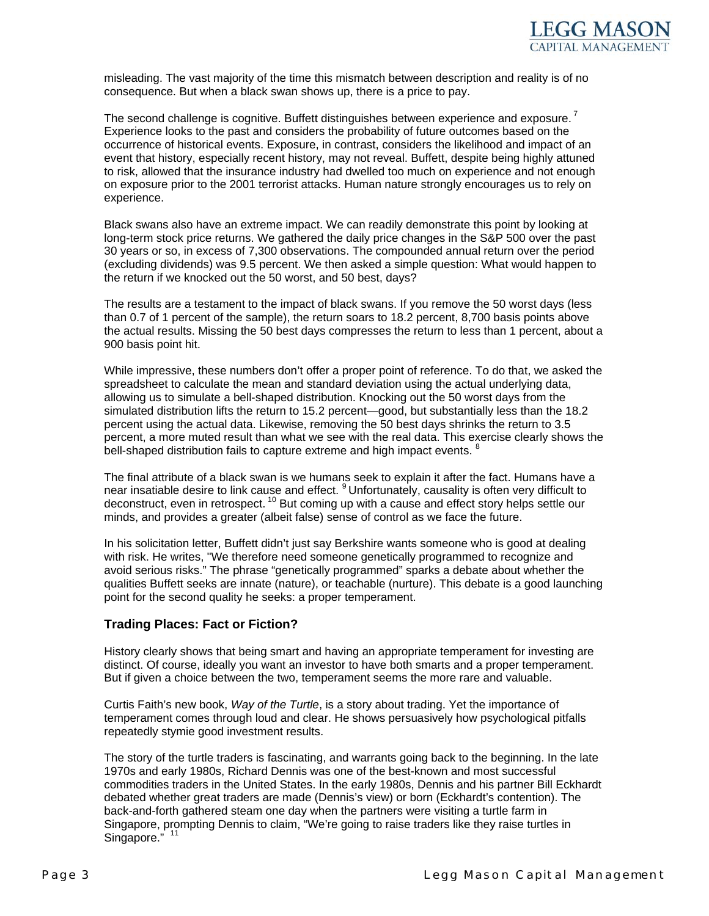

misleading. The vast majority of the time this mismatch between description and reality is of no consequence. But when a black swan shows up, there is a price to pay.

The second challenge is cognitive. Buffett distinguishes between experience and exposure.<sup>7</sup> Experience looks to the past and considers the probability of future outcomes based on the occurrence of historical events. Exposure, in contrast, considers the likelihood and impact of an event that history, especially recent history, may not reveal. Buffett, despite being highly attuned to risk, allowed that the insurance industry had dwelled too much on experience and not enough on exposure prior to the 2001 terrorist attacks. Human nature strongly encourages us to rely on experience.

Black swans also have an extreme impact. We can readily demonstrate this point by looking at long-term stock price returns. We gathered the daily price changes in the S&P 500 over the past 30 years or so, in excess of 7,300 observations. The compounded annual return over the period (excluding dividends) was 9.5 percent. We then asked a simple question: What would happen to the return if we knocked out the 50 worst, and 50 best, days?

The results are a testament to the impact of black swans. If you remove the 50 worst days (less than 0.7 of 1 percent of the sample), the return soars to 18.2 percent, 8,700 basis points above the actual results. Missing the 50 best days compresses the return to less than 1 percent, about a 900 basis point hit.

While impressive, these numbers don't offer a proper point of reference. To do that, we asked the spreadsheet to calculate the mean and standard deviation using the actual underlying data, allowing us to simulate a bell-shaped distribution. Knocking out the 50 worst days from the simulated distribution lifts the return to 15.2 percent—good, but substantially less than the 18.2 percent using the actual data. Likewise, removing the 50 best days shrinks the return to 3.5 percent, a more muted result than what we see with the real data. This exercise clearly shows the bell-shaped distribution fails to capture extreme and high impact events. <sup>8</sup>

The final attribute of a black swan is we humans seek to explain it after the fact. Humans have a near insatiable desire to link cause and effect. <sup>9</sup> Unfortunately, causality is often very difficult to deconstruct, even in retrospect.  $10$  But coming up with a cause and effect story helps settle our minds, and provides a greater (albeit false) sense of control as we face the future.

In his solicitation letter, Buffett didn't just say Berkshire wants someone who is good at dealing with risk. He writes, "We therefore need someone genetically programmed to recognize and avoid serious risks." The phrase "genetically programmed" sparks a debate about whether the qualities Buffett seeks are innate (nature), or teachable (nurture). This debate is a good launching point for the second quality he seeks: a proper temperament.

## **Trading Places: Fact or Fiction?**

History clearly shows that being smart and having an appropriate temperament for investing are distinct. Of course, ideally you want an investor to have both smarts and a proper temperament. But if given a choice between the two, temperament seems the more rare and valuable.

Curtis Faith's new book, *Way of the Turtle*, is a story about trading. Yet the importance of temperament comes through loud and clear. He shows persuasively how psychological pitfalls repeatedly stymie good investment results.

The story of the turtle traders is fascinating, and warrants going back to the beginning. In the late 1970s and early 1980s, Richard Dennis was one of the best-known and most successful commodities traders in the United States. In the early 1980s, Dennis and his partner Bill Eckhardt debated whether great traders are made (Dennis's view) or born (Eckhardt's contention). The back-and-forth gathered steam one day when the partners were visiting a turtle farm in Singapore, prompting Dennis to claim, "We're going to raise traders like they raise turtles in Singapore." 11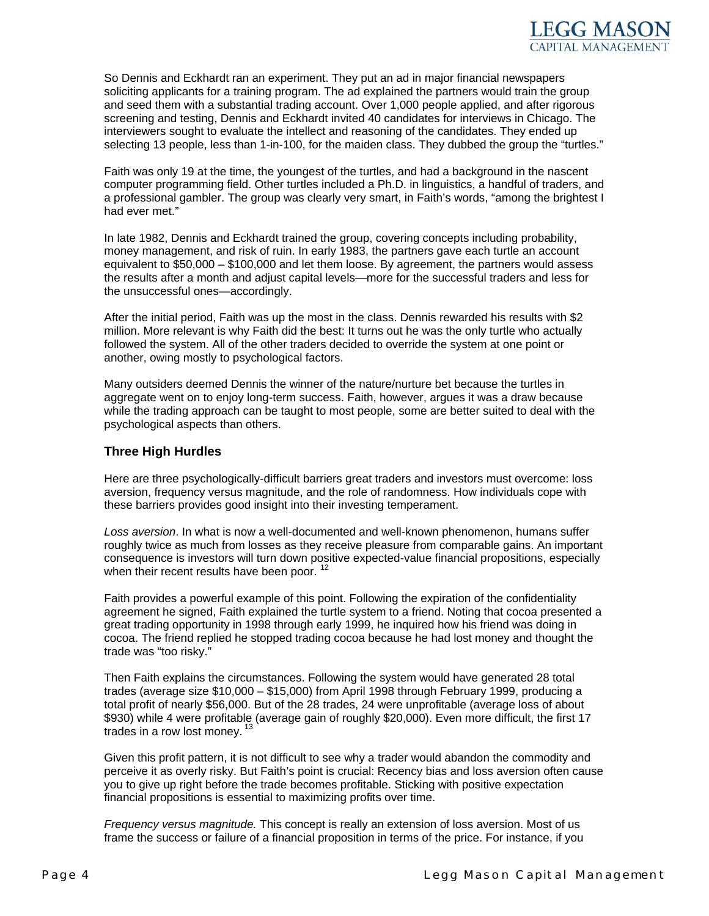

So Dennis and Eckhardt ran an experiment. They put an ad in major financial newspapers soliciting applicants for a training program. The ad explained the partners would train the group and seed them with a substantial trading account. Over 1,000 people applied, and after rigorous screening and testing, Dennis and Eckhardt invited 40 candidates for interviews in Chicago. The interviewers sought to evaluate the intellect and reasoning of the candidates. They ended up selecting 13 people, less than 1-in-100, for the maiden class. They dubbed the group the "turtles."

Faith was only 19 at the time, the youngest of the turtles, and had a background in the nascent computer programming field. Other turtles included a Ph.D. in linguistics, a handful of traders, and a professional gambler. The group was clearly very smart, in Faith's words, "among the brightest I had ever met."

In late 1982, Dennis and Eckhardt trained the group, covering concepts including probability, money management, and risk of ruin. In early 1983, the partners gave each turtle an account equivalent to \$50,000 – \$100,000 and let them loose. By agreement, the partners would assess the results after a month and adjust capital levels—more for the successful traders and less for the unsuccessful ones—accordingly.

After the initial period, Faith was up the most in the class. Dennis rewarded his results with \$2 million. More relevant is why Faith did the best: It turns out he was the only turtle who actually followed the system. All of the other traders decided to override the system at one point or another, owing mostly to psychological factors.

Many outsiders deemed Dennis the winner of the nature/nurture bet because the turtles in aggregate went on to enjoy long-term success. Faith, however, argues it was a draw because while the trading approach can be taught to most people, some are better suited to deal with the psychological aspects than others.

#### **Three High Hurdles**

Here are three psychologically-difficult barriers great traders and investors must overcome: loss aversion, frequency versus magnitude, and the role of randomness. How individuals cope with these barriers provides good insight into their investing temperament.

*Loss aversion*. In what is now a well-documented and well-known phenomenon, humans suffer roughly twice as much from losses as they receive pleasure from comparable gains. An important consequence is investors will turn down positive expected-value financial propositions, especially when their recent results have been poor.<sup>12</sup>

Faith provides a powerful example of this point. Following the expiration of the confidentiality agreement he signed, Faith explained the turtle system to a friend. Noting that cocoa presented a great trading opportunity in 1998 through early 1999, he inquired how his friend was doing in cocoa. The friend replied he stopped trading cocoa because he had lost money and thought the trade was "too risky."

Then Faith explains the circumstances. Following the system would have generated 28 total trades (average size \$10,000 – \$15,000) from April 1998 through February 1999, producing a total profit of nearly \$56,000. But of the 28 trades, 24 were unprofitable (average loss of about \$930) while 4 were profitable (average gain of roughly \$20,000). Even more difficult, the first 17 trades in a row lost money.<sup>13</sup>

Given this profit pattern, it is not difficult to see why a trader would abandon the commodity and perceive it as overly risky. But Faith's point is crucial: Recency bias and loss aversion often cause you to give up right before the trade becomes profitable. Sticking with positive expectation financial propositions is essential to maximizing profits over time.

*Frequency versus magnitude.* This concept is really an extension of loss aversion. Most of us frame the success or failure of a financial proposition in terms of the price. For instance, if you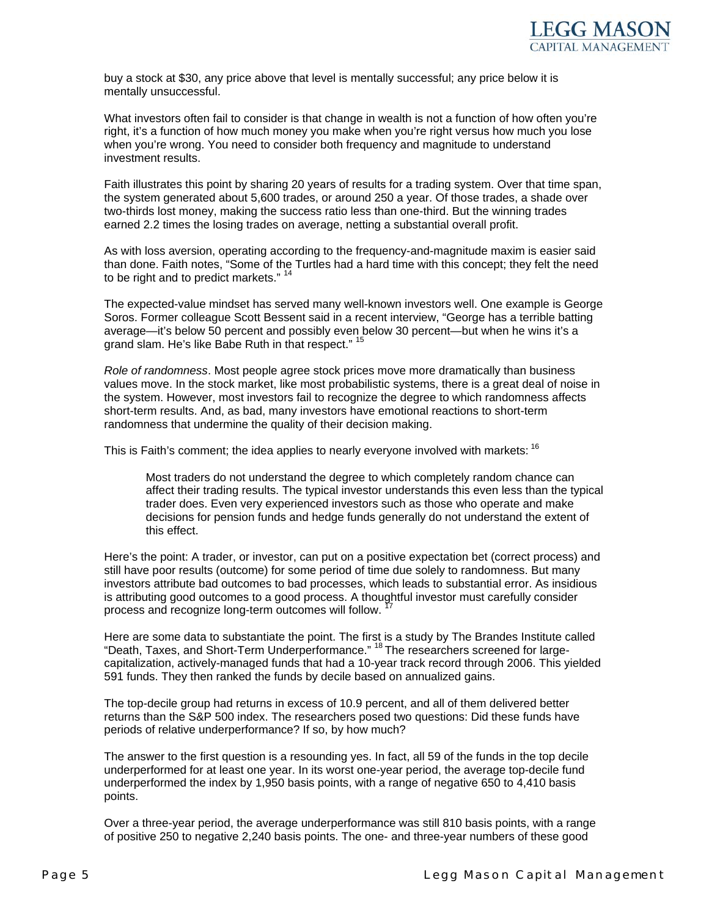buy a stock at \$30, any price above that level is mentally successful; any price below it is mentally unsuccessful.

What investors often fail to consider is that change in wealth is not a function of how often you're right, it's a function of how much money you make when you're right versus how much you lose when you're wrong. You need to consider both frequency and magnitude to understand investment results.

Faith illustrates this point by sharing 20 years of results for a trading system. Over that time span, the system generated about 5,600 trades, or around 250 a year. Of those trades, a shade over two-thirds lost money, making the success ratio less than one-third. But the winning trades earned 2.2 times the losing trades on average, netting a substantial overall profit.

As with loss aversion, operating according to the frequency-and-magnitude maxim is easier said than done. Faith notes, "Some of the Turtles had a hard time with this concept; they felt the need to be right and to predict markets."  $1$ 

The expected-value mindset has served many well-known investors well. One example is George Soros. Former colleague Scott Bessent said in a recent interview, "George has a terrible batting average—it's below 50 percent and possibly even below 30 percent—but when he wins it's a grand slam. He's like Babe Ruth in that respect." <sup>15</sup>

*Role of randomness*. Most people agree stock prices move more dramatically than business values move. In the stock market, like most probabilistic systems, there is a great deal of noise in the system. However, most investors fail to recognize the degree to which randomness affects short-term results. And, as bad, many investors have emotional reactions to short-term randomness that undermine the quality of their decision making.

This is Faith's comment; the idea applies to nearly everyone involved with markets: <sup>16</sup>

Most traders do not understand the degree to which completely random chance can affect their trading results. The typical investor understands this even less than the typical trader does. Even very experienced investors such as those who operate and make decisions for pension funds and hedge funds generally do not understand the extent of this effect.

Here's the point: A trader, or investor, can put on a positive expectation bet (correct process) and still have poor results (outcome) for some period of time due solely to randomness. But many investors attribute bad outcomes to bad processes, which leads to substantial error. As insidious is attributing good outcomes to a good process. A thoughtful investor must carefully consider process and recognize long-term outcomes will follow.

Here are some data to substantiate the point. The first is a study by The Brandes Institute called "Death, Taxes, and Short-Term Underperformance." 18 The researchers screened for largecapitalization, actively-managed funds that had a 10-year track record through 2006. This yielded 591 funds. They then ranked the funds by decile based on annualized gains.

The top-decile group had returns in excess of 10.9 percent, and all of them delivered better returns than the S&P 500 index. The researchers posed two questions: Did these funds have periods of relative underperformance? If so, by how much?

The answer to the first question is a resounding yes. In fact, all 59 of the funds in the top decile underperformed for at least one year. In its worst one-year period, the average top-decile fund underperformed the index by 1,950 basis points, with a range of negative 650 to 4,410 basis points.

Over a three-year period, the average underperformance was still 810 basis points, with a range of positive 250 to negative 2,240 basis points. The one- and three-year numbers of these good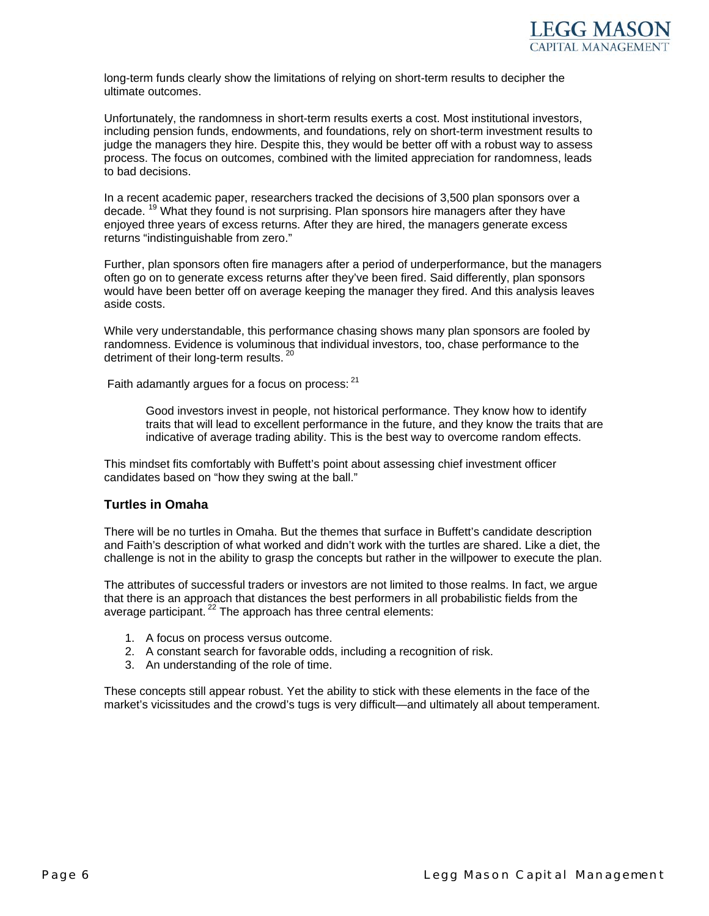

long-term funds clearly show the limitations of relying on short-term results to decipher the ultimate outcomes.

Unfortunately, the randomness in short-term results exerts a cost. Most institutional investors, including pension funds, endowments, and foundations, rely on short-term investment results to judge the managers they hire. Despite this, they would be better off with a robust way to assess process. The focus on outcomes, combined with the limited appreciation for randomness, leads to bad decisions.

In a recent academic paper, researchers tracked the decisions of 3,500 plan sponsors over a decade.<sup>19</sup> What they found is not surprising. Plan sponsors hire managers after they have enjoyed three years of excess returns. After they are hired, the managers generate excess returns "indistinguishable from zero."

Further, plan sponsors often fire managers after a period of underperformance, but the managers often go on to generate excess returns after they've been fired. Said differently, plan sponsors would have been better off on average keeping the manager they fired. And this analysis leaves aside costs.

While very understandable, this performance chasing shows many plan sponsors are fooled by randomness. Evidence is voluminous that individual investors, too, chase performance to the detriment of their long-term results.<sup>2</sup>

Faith adamantly argues for a focus on process: <sup>21</sup>

Good investors invest in people, not historical performance. They know how to identify traits that will lead to excellent performance in the future, and they know the traits that are indicative of average trading ability. This is the best way to overcome random effects.

This mindset fits comfortably with Buffett's point about assessing chief investment officer candidates based on "how they swing at the ball."

## **Turtles in Omaha**

There will be no turtles in Omaha. But the themes that surface in Buffett's candidate description and Faith's description of what worked and didn't work with the turtles are shared. Like a diet, the challenge is not in the ability to grasp the concepts but rather in the willpower to execute the plan.

The attributes of successful traders or investors are not limited to those realms. In fact, we argue that there is an approach that distances the best performers in all probabilistic fields from the average participant.<sup>22</sup> The approach has three central elements:

- 1. A focus on process versus outcome.
- 2. A constant search for favorable odds, including a recognition of risk.
- 3. An understanding of the role of time.

These concepts still appear robust. Yet the ability to stick with these elements in the face of the market's vicissitudes and the crowd's tugs is very difficult—and ultimately all about temperament.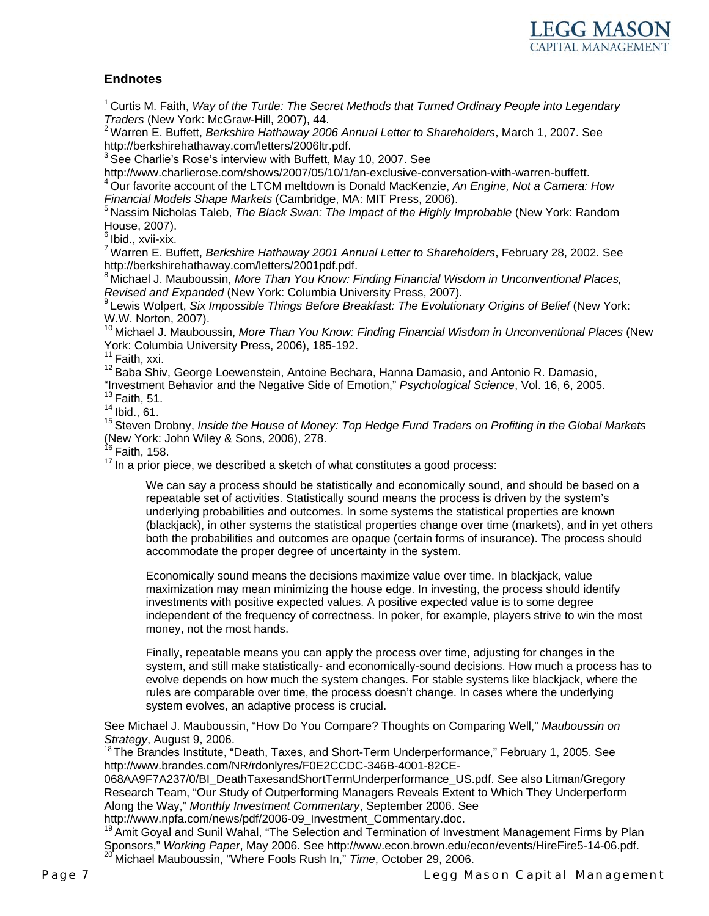

# **Endnotes**

1 Curtis M. Faith, *Way of the Turtle: The Secret Methods that Turned Ordinary People into Legendary* 

*Traders* (New York: McGraw-Hill, 2007), 44.<br><sup>2</sup> Warren E. Buffett, *Berkshire Hathaway 2006 Annual Letter to Shareholders*, March 1, 2007. See<br>http://berkshirehathaway.com/letters/2006ltr.pdf.

 $3$  See Charlie's Rose's interview with Buffett, May 10, 2007. See

http://www.charlierose.com/shows/2007/05/10/1/an-exclusive-conversation-with-warren-buffett.

4 Our favorite account of the LTCM meltdown is Donald MacKenzie, *An Engine, Not a Camera: How* 

*Financial Models Shape Markets* (Cambridge, MA: MIT Press, 2006).<br><sup>5</sup> Nassim Nicholas Taleb, *The Black Swan: The Impact of the Highly Improbable* (New York: Random House, 2007).

 $6$  Ibid., xvii-xix.

7 Warren E. Buffett, *Berkshire Hathaway 2001 Annual Letter to Shareholders*, February 28, 2002. See http://berkshirehathaway.com/letters/2001pdf.pdf.

<sup>8</sup> Michael J. Mauboussin, *More Than You Know: Finding Financial Wisdom in Unconventional Places,<br><i>Revised and Expanded* (New York: Columbia University Press, 2007).<br><sup>9</sup> Lavia Walastic O. W. W. W. W. W. W. W. W. W. W. W.

*Revised and Expanded* (New York: Columbia University Press, 2007). 9 Lewis Wolpert, *Six Impossible Things Before Breakfast: The Evolutionary Origins of Belief* (New York: W.W. Norton, 2007).

10 Michael J. Mauboussin, *More Than You Know: Finding Financial Wisdom in Unconventional Places* (New York: Columbia University Press, 2006), 185-192.

 $11$  Faith, xxi.

<sup>12</sup> Baba Shiv, George Loewenstein, Antoine Bechara, Hanna Damasio, and Antonio R. Damasio,

"Investment Behavior and the Negative Side of Emotion," *Psychological Science*, Vol. 16, 6, 2005.

 $13$  Faith, 51.

 $14$  Ibid., 61.

15 Steven Drobny, *Inside the House of Money: Top Hedge Fund Traders on Profiting in the Global Markets* (New York: John Wiley & Sons, 2006), 278.

<sup>16</sup> Faith, 158.

<sup>17</sup> In a prior piece, we described a sketch of what constitutes a good process:

We can say a process should be statistically and economically sound, and should be based on a repeatable set of activities. Statistically sound means the process is driven by the system's underlying probabilities and outcomes. In some systems the statistical properties are known (blackjack), in other systems the statistical properties change over time (markets), and in yet others both the probabilities and outcomes are opaque (certain forms of insurance). The process should accommodate the proper degree of uncertainty in the system.

Economically sound means the decisions maximize value over time. In blackjack, value maximization may mean minimizing the house edge. In investing, the process should identify investments with positive expected values. A positive expected value is to some degree independent of the frequency of correctness. In poker, for example, players strive to win the most money, not the most hands.

Finally, repeatable means you can apply the process over time, adjusting for changes in the system, and still make statistically- and economically-sound decisions. How much a process has to evolve depends on how much the system changes. For stable systems like blackjack, where the rules are comparable over time, the process doesn't change. In cases where the underlying system evolves, an adaptive process is crucial.

See Michael J. Mauboussin, "How Do You Compare? Thoughts on Comparing Well," *Mauboussin on* 

*Strategy*, August 9, 2006.<br><sup>18</sup>The Brandes Institute, "Death, Taxes, and Short-Term Underperformance," February 1, 2005. See http://www.brandes.com/NR/rdonlyres/F0E2CCDC-346B-4001-82CE-

068AA9F7A237/0/BI\_DeathTaxesandShortTermUnderperformance\_US.pdf. See also Litman/Gregory Research Team, "Our Study of Outperforming Managers Reveals Extent to Which They Underperform Along the Way," *Monthly Investment Commentary*, September 2006. See

http://www.npfa.com/news/pdf/2006-09\_Investment\_Commentary.doc.

<sup>19</sup> Amit Goyal and Sunil Wahal, "The Selection and Termination of Investment Management Firms by Plan Sponsors," *Working Paper*, May 2006. See http://www.econ.brown.edu/econ/events/HireFire5-14-06.pdf. 20 Michael Mauboussin, "Where Fools Rush In," *Time*, October 29, 2006.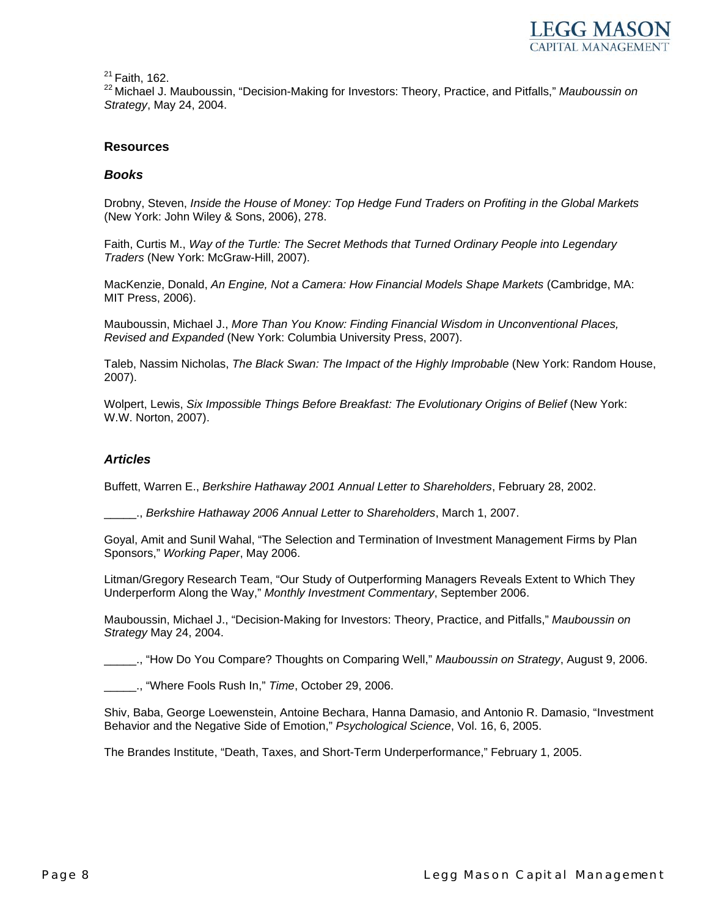

 $21$  Faith. 162.

22 Michael J. Mauboussin, "Decision-Making for Investors: Theory, Practice, and Pitfalls," *Mauboussin on Strategy*, May 24, 2004.

#### **Resources**

#### *Books*

Drobny, Steven, *Inside the House of Money: Top Hedge Fund Traders on Profiting in the Global Markets* (New York: John Wiley & Sons, 2006), 278.

Faith, Curtis M., *Way of the Turtle: The Secret Methods that Turned Ordinary People into Legendary Traders* (New York: McGraw-Hill, 2007).

MacKenzie, Donald, *An Engine, Not a Camera: How Financial Models Shape Markets* (Cambridge, MA: MIT Press, 2006).

Mauboussin, Michael J., *More Than You Know: Finding Financial Wisdom in Unconventional Places, Revised and Expanded* (New York: Columbia University Press, 2007).

Taleb, Nassim Nicholas, *The Black Swan: The Impact of the Highly Improbable* (New York: Random House, 2007).

Wolpert, Lewis, *Six Impossible Things Before Breakfast: The Evolutionary Origins of Belief* (New York: W.W. Norton, 2007).

#### *Articles*

Buffett, Warren E., *Berkshire Hathaway 2001 Annual Letter to Shareholders*, February 28, 2002.

\_\_\_\_\_., *Berkshire Hathaway 2006 Annual Letter to Shareholders*, March 1, 2007.

Goyal, Amit and Sunil Wahal, "The Selection and Termination of Investment Management Firms by Plan Sponsors," *Working Paper*, May 2006.

Litman/Gregory Research Team, "Our Study of Outperforming Managers Reveals Extent to Which They Underperform Along the Way," *Monthly Investment Commentary*, September 2006.

Mauboussin, Michael J., "Decision-Making for Investors: Theory, Practice, and Pitfalls," *Mauboussin on Strategy* May 24, 2004.

\_\_\_\_\_., "How Do You Compare? Thoughts on Comparing Well," *Mauboussin on Strategy*, August 9, 2006.

\_\_\_\_\_., "Where Fools Rush In," *Time*, October 29, 2006.

Shiv, Baba, George Loewenstein, Antoine Bechara, Hanna Damasio, and Antonio R. Damasio, "Investment Behavior and the Negative Side of Emotion," *Psychological Science*, Vol. 16, 6, 2005.

The Brandes Institute, "Death, Taxes, and Short-Term Underperformance," February 1, 2005.